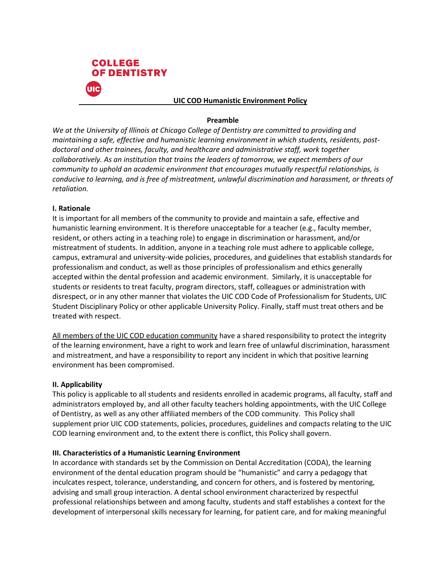

#### **UIC COD Humanistic Environment Policy**

#### **Preamble**

*We at the University of Illinois at Chicago College of Dentistry are committed to providing and maintaining a safe, effective and humanistic learning environment in which students, residents, postdoctoral and other trainees, faculty, and healthcare and administrative staff, work together collaboratively. As an institution that trains the leaders of tomorrow, we expect members of our community to uphold an academic environment that encourages mutually respectful relationships, is conducive to learning, and is free of mistreatment, unlawful discrimination and harassment, or threats of retaliation.*

## **I. Rationale**

It is important for all members of the community to provide and maintain a safe, effective and humanistic learning environment. It is therefore unacceptable for a teacher (e.g., faculty member, resident, or others acting in a teaching role) to engage in discrimination or harassment, and/or mistreatment of students. In addition, anyone in a teaching role must adhere to applicable college, campus, extramural and university-wide policies, procedures, and guidelines that establish standards for professionalism and conduct, as well as those principles of professionalism and ethics generally accepted within the dental profession and academic environment. Similarly, it is unacceptable for students or residents to treat faculty, program directors, staff, colleagues or administration with disrespect, or in any other manner that violates the UIC COD Code of Professionalism for Students, UIC Student Disciplinary Policy or other applicable University Policy. Finally, staff must treat others and be treated with respect.

All members of the UIC COD education community have a shared responsibility to protect the integrity of the learning environment, have a right to work and learn free of unlawful discrimination, harassment and mistreatment, and have a responsibility to report any incident in which that positive learning environment has been compromised.

## **II. Applicability**

This policy is applicable to all students and residents enrolled in academic programs, all faculty, staff and administrators employed by, and all other faculty teachers holding appointments, with the UIC College of Dentistry, as well as any other affiliated members of the COD community. This Policy shall supplement prior UIC COD statements, policies, procedures, guidelines and compacts relating to the UIC COD learning environment and, to the extent there is conflict, this Policy shall govern.

## **III. Characteristics of a Humanistic Learning Environment**

In accordance with standards set by the Commission on Dental Accreditation (CODA), the learning environment of the dental education program should be "humanistic" and carry a pedagogy that inculcates respect, tolerance, understanding, and concern for others, and is fostered by mentoring, advising and small group interaction. A dental school environment characterized by respectful professional relationships between and among faculty, students and staff establishes a context for the development of interpersonal skills necessary for learning, for patient care, and for making meaningful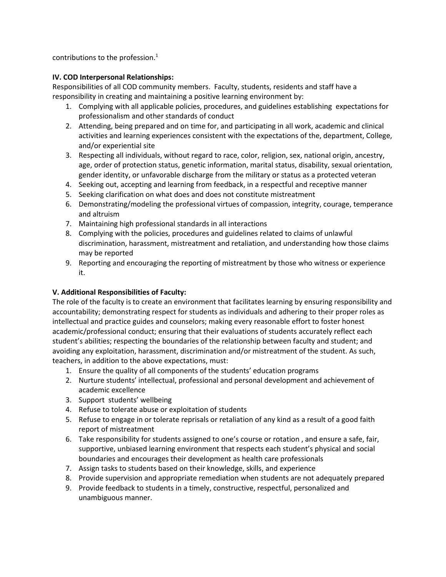contributions to the profession. $<sup>1</sup>$ </sup>

# **IV. COD Interpersonal Relationships:**

Responsibilities of all COD community members. Faculty, students, residents and staff have a responsibility in creating and maintaining a positive learning environment by:

- 1. Complying with all applicable policies, procedures, and guidelines establishing expectations for professionalism and other standards of conduct
- 2. Attending, being prepared and on time for, and participating in all work, academic and clinical activities and learning experiences consistent with the expectations of the, department, College, and/or experiential site
- 3. Respecting all individuals, without regard to race, color, religion, sex, national origin, ancestry, age, order of protection status, genetic information, marital status, disability, sexual orientation, gender identity, or unfavorable discharge from the military or status as a protected veteran
- 4. Seeking out, accepting and learning from feedback, in a respectful and receptive manner
- 5. Seeking clarification on what does and does not constitute mistreatment
- 6. Demonstrating/modeling the professional virtues of compassion, integrity, courage, temperance and altruism
- 7. Maintaining high professional standards in all interactions
- 8. Complying with the policies, procedures and guidelines related to claims of unlawful discrimination, harassment, mistreatment and retaliation, and understanding how those claims may be reported
- 9. Reporting and encouraging the reporting of mistreatment by those who witness or experience it.

# **V. Additional Responsibilities of Faculty:**

The role of the faculty is to create an environment that facilitates learning by ensuring responsibility and accountability; demonstrating respect for students as individuals and adhering to their proper roles as intellectual and practice guides and counselors; making every reasonable effort to foster honest academic/professional conduct; ensuring that their evaluations of students accurately reflect each student's abilities; respecting the boundaries of the relationship between faculty and student; and avoiding any exploitation, harassment, discrimination and/or mistreatment of the student. As such, teachers, in addition to the above expectations, must:

- 1. Ensure the quality of all components of the students' education programs
- 2. Nurture students' intellectual, professional and personal development and achievement of academic excellence
- 3. Support students' wellbeing
- 4. Refuse to tolerate abuse or exploitation of students
- 5. Refuse to engage in or tolerate reprisals or retaliation of any kind as a result of a good faith report of mistreatment
- 6. Take responsibility for students assigned to one's course or rotation , and ensure a safe, fair, supportive, unbiased learning environment that respects each student's physical and social boundaries and encourages their development as health care professionals
- 7. Assign tasks to students based on their knowledge, skills, and experience
- 8. Provide supervision and appropriate remediation when students are not adequately prepared
- 9. Provide feedback to students in a timely, constructive, respectful, personalized and unambiguous manner.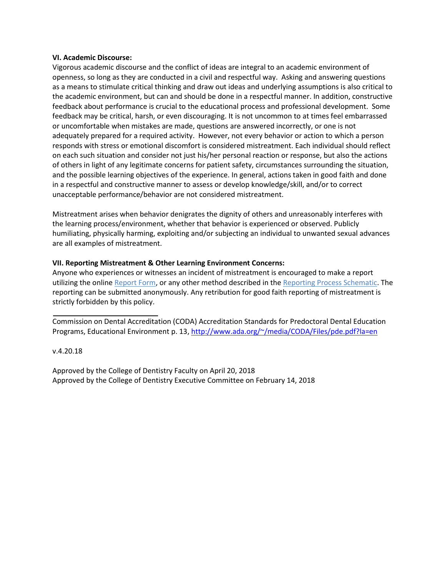#### **VI. Academic Discourse:**

Vigorous academic discourse and the conflict of ideas are integral to an academic environment of openness, so long as they are conducted in a civil and respectful way. Asking and answering questions as a means to stimulate critical thinking and draw out ideas and underlying assumptions is also critical to the academic environment, but can and should be done in a respectful manner. In addition, constructive feedback about performance is crucial to the educational process and professional development. Some feedback may be critical, harsh, or even discouraging. It is not uncommon to at times feel embarrassed or uncomfortable when mistakes are made, questions are answered incorrectly, or one is not adequately prepared for a required activity. However, not every behavior or action to which a person responds with stress or emotional discomfort is considered mistreatment. Each individual should reflect on each such situation and consider not just his/her personal reaction or response, but also the actions of others in light of any legitimate concerns for patient safety, circumstances surrounding the situation, and the possible learning objectives of the experience. In general, actions taken in good faith and done in a respectful and constructive manner to assess or develop knowledge/skill, and/or to correct unacceptable performance/behavior are not considered mistreatment.

Mistreatment arises when behavior denigrates the dignity of others and unreasonably interferes with the learning process/environment, whether that behavior is experienced or observed. Publicly humiliating, physically harming, exploiting and/or subjecting an individual to unwanted sexual advances are all examples of mistreatment.

## **VII. Reporting Mistreatment & Other Learning Environment Concerns:**

Anyone who experiences or witnesses an incident of mistreatment is encouraged to make a report utilizing the online Report Form, or any other method described in the Reporting Process Schematic. The reporting can be submitted anonymously. Any retribution for good faith reporting of mistreatment is strictly forbidden by this policy.

Commission on Dental Accreditation (CODA) Accreditation Standards for Predoctoral Dental Education Programs, Educational Environment p. 13[, http://www.ada.org/~/media/CODA/Files/pde.pdf?la=en](http://www.ada.org/~/media/CODA/Files/pde.pdf?la=en)

## v.4.20.18

Approved by the College of Dentistry Faculty on April 20, 2018 Approved by the College of Dentistry Executive Committee on February 14, 2018